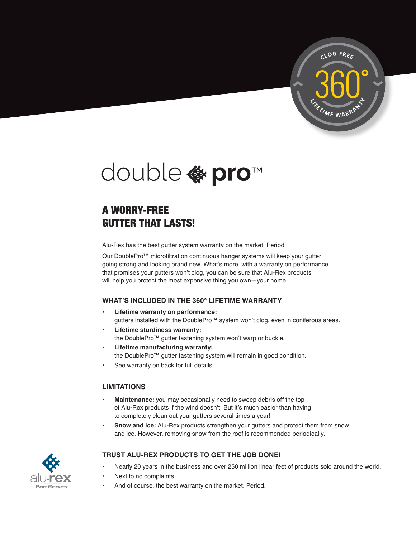



# A WORRY-FREE GUTTER THAT LASTS!

Alu-Rex has the best gutter system warranty on the market. Period.

Our DoublePro™ microfiltration continuous hanger systems will keep your gutter going strong and looking brand new. What's more, with a warranty on performance that promises your gutters won't clog, you can be sure that Alu-Rex products will help you protect the most expensive thing you own—your home.

# **WHAT'S INCLUDED IN THE 360° LIFETIME WARRANTY**

- **• Lifetime warranty on performance:**  gutters installed with the DoublePro™ system won't clog, even in coniferous areas.
- **• Lifetime sturdiness warranty:** the DoublePro™ gutter fastening system won't warp or buckle.
- **• Lifetime manufacturing warranty:**  the DoublePro™ gutter fastening system will remain in good condition.
- See warranty on back for full details.

## **LIMITATIONS**

- **• Maintenance:** you may occasionally need to sweep debris off the top of Alu-Rex products if the wind doesn't. But it's much easier than having to completely clean out your gutters several times a year!
- **• Snow and ice:** Alu-Rex products strengthen your gutters and protect them from snow and ice. However, removing snow from the roof is recommended periodically.



## **TRUST ALU-REX PRODUCTS TO GET THE JOB DONE!**

- Nearly 20 years in the business and over 250 million linear feet of products sold around the world.
- Next to no complaints.
- And of course, the best warranty on the market. Period.